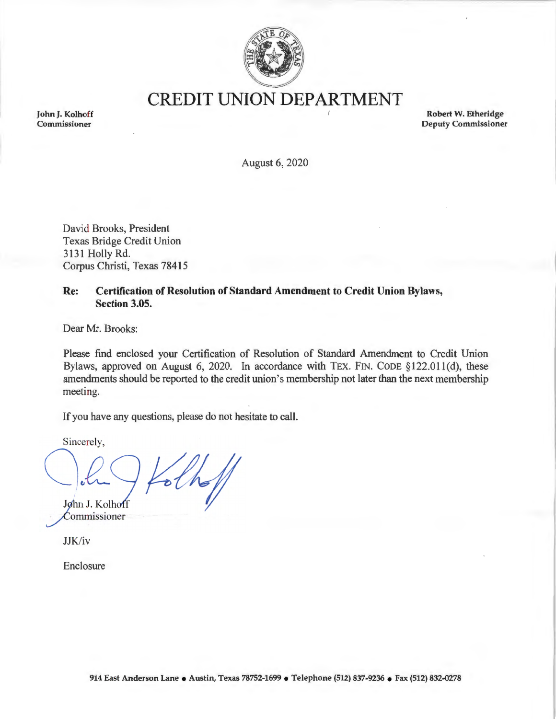

**CREDIT UNION DEPARTMENT** 

**John J. Kolhoff Commissioner** 

**Robert W. Etheridge Deputy Commissioner** 

August 6, 2020

David Brooks, President Texas Bridge Credit Union 3131 Holly Rd. Corpus Christi, Texas 78415

## **Re: Certification of Resolution of Standard Amendment to Credit Union Bylaws, Section 3.05.**

Dear Mr. Brooks:

Please find enclosed your Certification of Resolution of Standard Amendment to Credit Union Bylaws, approved on August 6, 2020. In accordance with TEX. FIN. CODE §122.011(d), these amendments should be reported to the credit union's membership not later than the next membership meeting.

If you have any questions, please do not hesitate to call.

Sincerely,



Commissioner

JJK/iv

Enclosure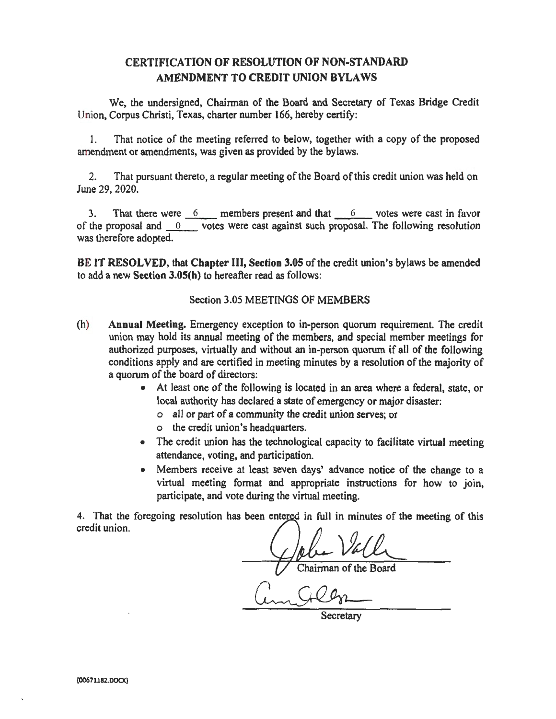## **CERTIFICATION OF RESOLUTION OF NON-STANDARD AMENDMENT TO CREDIT UNION BYLAWS**

We, the undersigned, Chairman of the Board and Secretary of Texas Bridge Credit Union, Corpus Christi, Texas, charter number 166, hereby certify:

1. That notice of the meeting referred to below, together with a copy of the proposed amendment or amendments, was given as provided by the bylaws.

2. That pursuant thereto, a regular meeting of the Board of this credit union was held on June 29, 2020.

3. That there were 6 \_\_\_ members present and that \_\_\_\_\_6 \_\_\_ votes were cast in favor of the proposal and  $\overline{0}$  votes were cast against such proposal. The following resolution was therefore adopted.

**BE IT RESOLVED,** that **Chapter** III, **Section 3.05** of the credit union's bylaws be amended to add a new **Section 3.0S(h)** to hereafter read as follows:

## Section 3.05 MEETINGS OF MEMBERS

- (h) **Annual Meeting.** Emergency exception to in-person quorum requirement. The credit union may hold its annual meeting of the members, and special member meetings for authorized purposes, virtually and without an in-person quorum if all of the following conditions apply and are certified in meeting minutes by a resolution of the majority of a quorum of the board of directors:
	- At least one of the following is located in an area where a federal, state, or local authority has declared a state of emergency or major disaster:
		- o all or part of a community the credit union serves; or
		- o the credit union's headquarters.
	- The credit union has the technological capacity to facilitate virtual meeting attendance, voting, and participation.
	- Members receive at least seven days' advance notice of the change to a virtual meeting format and appropriate instructions for how to join, participate, and vote during the virtual meeting.

4. That the foregoing resolution has been entered in full in minutes of the meeting of this credit union.

Chairman of the Board

Secretary